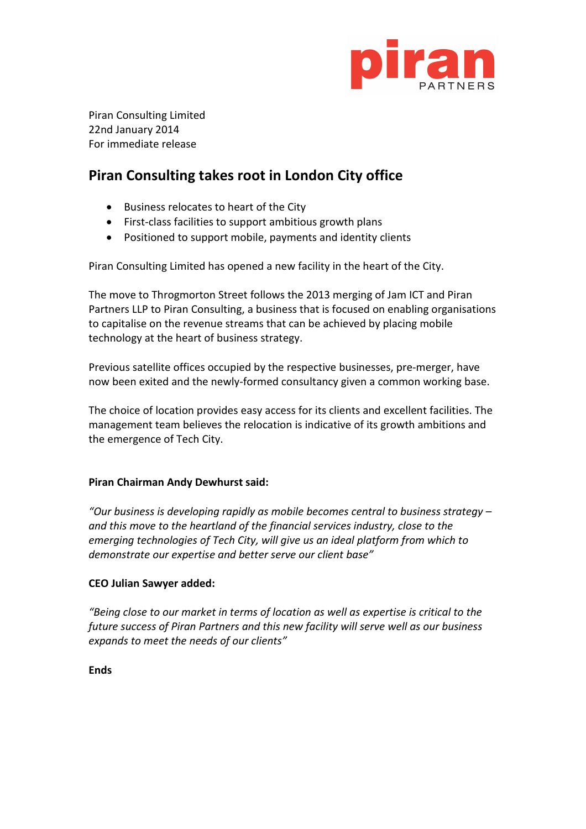

Piran Consulting Limited 22nd January 2014 For immediate release

# **Piran Consulting takes root in London City office**

- Business relocates to heart of the City
- First-class facilities to support ambitious growth plans
- Positioned to support mobile, payments and identity clients

Piran Consulting Limited has opened a new facility in the heart of the City.

The move to Throgmorton Street follows the 2013 merging of Jam ICT and Piran Partners LLP to Piran Consulting, a business that is focused on enabling organisations to capitalise on the revenue streams that can be achieved by placing mobile technology at the heart of business strategy.

Previous satellite offices occupied by the respective businesses, pre-merger, have now been exited and the newly-formed consultancy given a common working base.

The choice of location provides easy access for its clients and excellent facilities. The management team believes the relocation is indicative of its growth ambitions and the emergence of Tech City.

## **Piran Chairman Andy Dewhurst said:**

*"Our business is developing rapidly as mobile becomes central to business strategy – and this move to the heartland of the financial services industry, close to the emerging technologies of Tech City, will give us an ideal platform from which to demonstrate our expertise and better serve our client base"*

## **CEO Julian Sawyer added:**

*"Being close to our market in terms of location as well as expertise is critical to the future success of Piran Partners and this new facility will serve well as our business expands to meet the needs of our clients"*

**Ends**